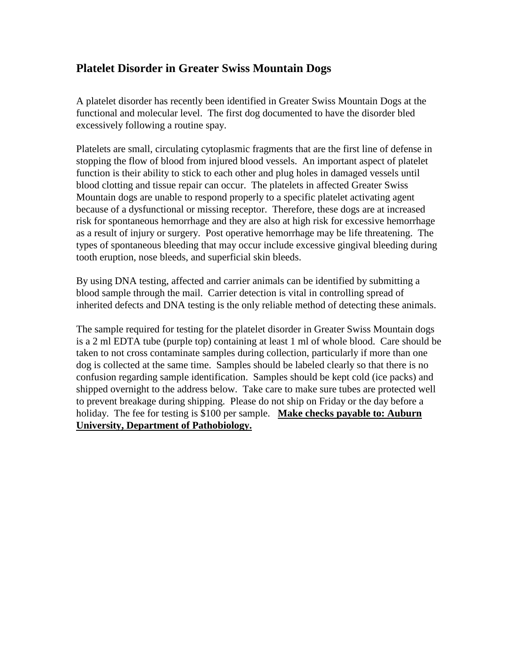## **Platelet Disorder in Greater Swiss Mountain Dogs**

A platelet disorder has recently been identified in Greater Swiss Mountain Dogs at the functional and molecular level. The first dog documented to have the disorder bled excessively following a routine spay.

Platelets are small, circulating cytoplasmic fragments that are the first line of defense in stopping the flow of blood from injured blood vessels. An important aspect of platelet function is their ability to stick to each other and plug holes in damaged vessels until blood clotting and tissue repair can occur. The platelets in affected Greater Swiss Mountain dogs are unable to respond properly to a specific platelet activating agent because of a dysfunctional or missing receptor. Therefore, these dogs are at increased risk for spontaneous hemorrhage and they are also at high risk for excessive hemorrhage as a result of injury or surgery. Post operative hemorrhage may be life threatening. The types of spontaneous bleeding that may occur include excessive gingival bleeding during tooth eruption, nose bleeds, and superficial skin bleeds.

By using DNA testing, affected and carrier animals can be identified by submitting a blood sample through the mail. Carrier detection is vital in controlling spread of inherited defects and DNA testing is the only reliable method of detecting these animals.

The sample required for testing for the platelet disorder in Greater Swiss Mountain dogs is a 2 ml EDTA tube (purple top) containing at least 1 ml of whole blood. Care should be taken to not cross contaminate samples during collection, particularly if more than one dog is collected at the same time. Samples should be labeled clearly so that there is no confusion regarding sample identification. Samples should be kept cold (ice packs) and shipped overnight to the address below. Take care to make sure tubes are protected well to prevent breakage during shipping. Please do not ship on Friday or the day before a holiday. The fee for testing is \$100 per sample. **Make checks payable to: Auburn University, Department of Pathobiology.**